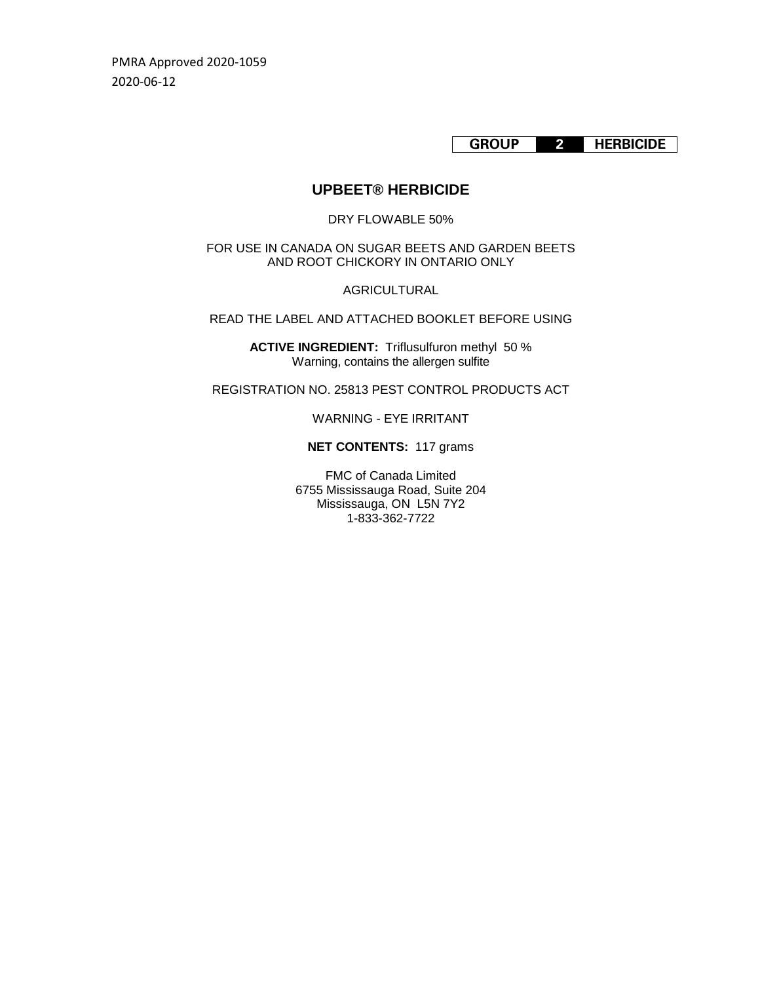PMRA Approved 2020-1059 2020-06-12

**GROUP 2 HERBICIDE**

# **UPBEET® HERBICIDE**

### DRY FLOWABLE 50%

FOR USE IN CANADA ON SUGAR BEETS AND GARDEN BEETS AND ROOT CHICKORY IN ONTARIO ONLY

AGRICULTURAL

READ THE LABEL AND ATTACHED BOOKLET BEFORE USING

**ACTIVE INGREDIENT:** Triflusulfuron methyl 50 % Warning, contains the allergen sulfite

REGISTRATION NO. 25813 PEST CONTROL PRODUCTS ACT

WARNING - EYE IRRITANT

## **NET CONTENTS:** 117 grams

FMC of Canada Limited 6755 Mississauga Road, Suite 204 Mississauga, ON L5N 7Y2 1-833-362-7722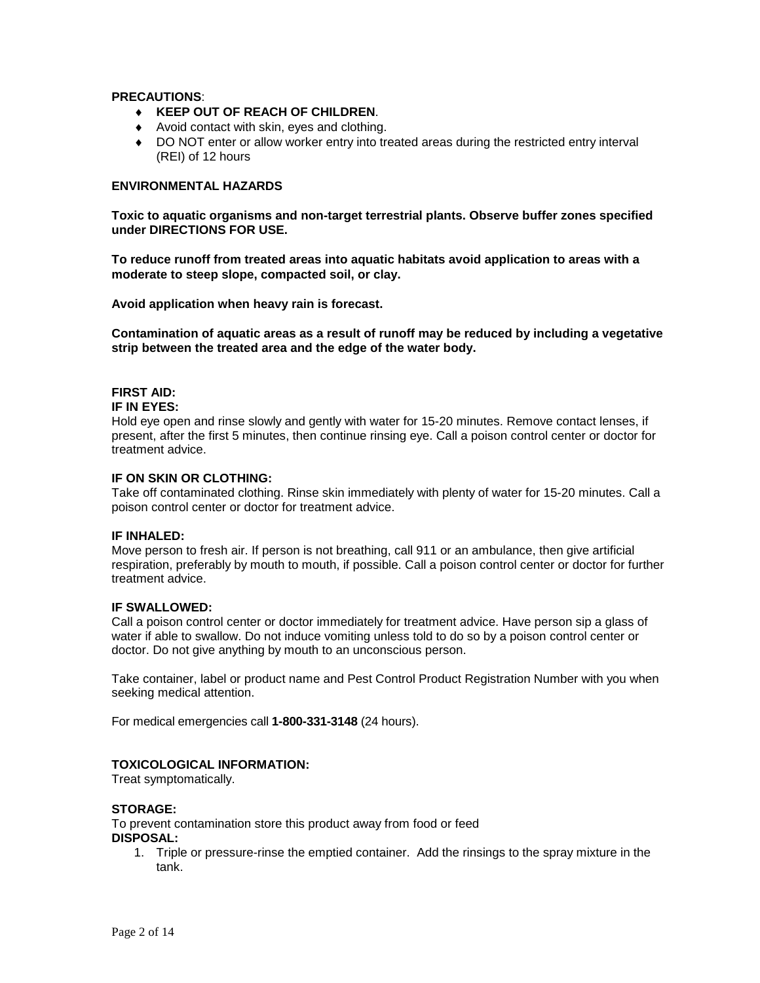### **PRECAUTIONS**:

- ♦ **KEEP OUT OF REACH OF CHILDREN**.
- ♦ Avoid contact with skin, eyes and clothing.
- ♦ DO NOT enter or allow worker entry into treated areas during the restricted entry interval (REI) of 12 hours

## **ENVIRONMENTAL HAZARDS**

**Toxic to aquatic organisms and non-target terrestrial plants. Observe buffer zones specified under DIRECTIONS FOR USE.**

**To reduce runoff from treated areas into aquatic habitats avoid application to areas with a moderate to steep slope, compacted soil, or clay.**

**Avoid application when heavy rain is forecast.**

**Contamination of aquatic areas as a result of runoff may be reduced by including a vegetative strip between the treated area and the edge of the water body.**

## **FIRST AID:**

#### **IF IN EYES:**

Hold eye open and rinse slowly and gently with water for 15-20 minutes. Remove contact lenses, if present, after the first 5 minutes, then continue rinsing eye. Call a poison control center or doctor for treatment advice.

### **IF ON SKIN OR CLOTHING:**

Take off contaminated clothing. Rinse skin immediately with plenty of water for 15-20 minutes. Call a poison control center or doctor for treatment advice.

#### **IF INHALED:**

Move person to fresh air. If person is not breathing, call 911 or an ambulance, then give artificial respiration, preferably by mouth to mouth, if possible. Call a poison control center or doctor for further treatment advice.

### **IF SWALLOWED:**

Call a poison control center or doctor immediately for treatment advice. Have person sip a glass of water if able to swallow. Do not induce vomiting unless told to do so by a poison control center or doctor. Do not give anything by mouth to an unconscious person.

Take container, label or product name and Pest Control Product Registration Number with you when seeking medical attention.

For medical emergencies call **1-800-331-3148** (24 hours).

### **TOXICOLOGICAL INFORMATION:**

Treat symptomatically.

#### **STORAGE:**

To prevent contamination store this product away from food or feed **DISPOSAL:**

1. Triple or pressure-rinse the emptied container. Add the rinsings to the spray mixture in the tank.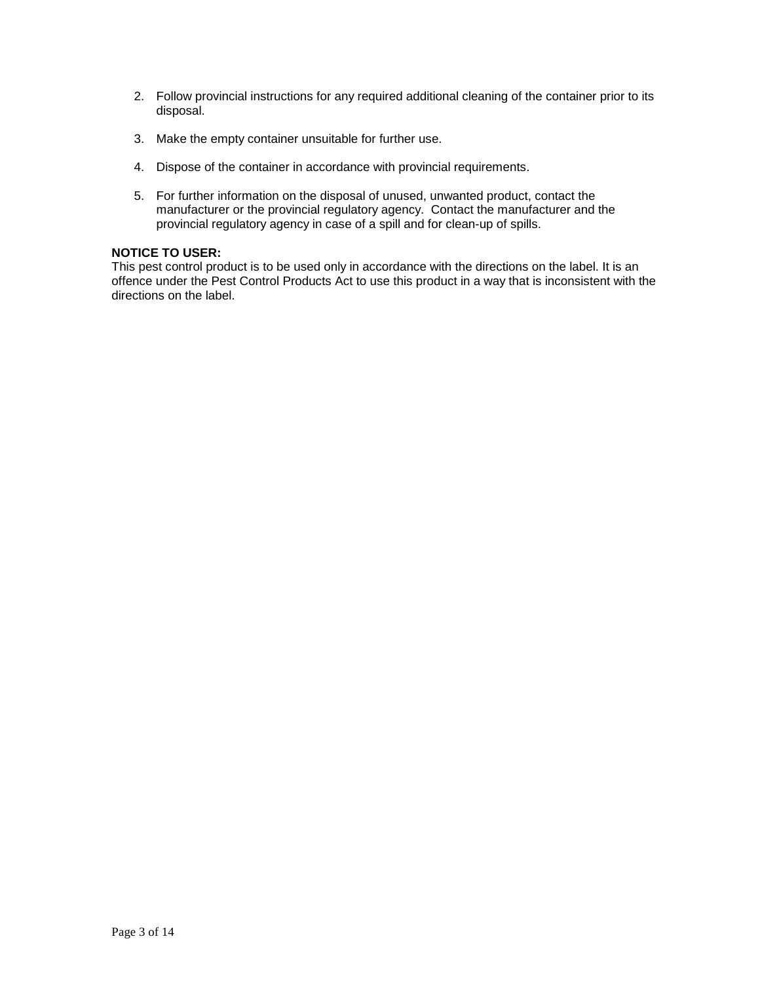- 2. Follow provincial instructions for any required additional cleaning of the container prior to its disposal.
- 3. Make the empty container unsuitable for further use.
- 4. Dispose of the container in accordance with provincial requirements.
- 5. For further information on the disposal of unused, unwanted product, contact the manufacturer or the provincial regulatory agency. Contact the manufacturer and the provincial regulatory agency in case of a spill and for clean-up of spills.

## **NOTICE TO USER:**

This pest control product is to be used only in accordance with the directions on the label. It is an offence under the Pest Control Products Act to use this product in a way that is inconsistent with the directions on the label.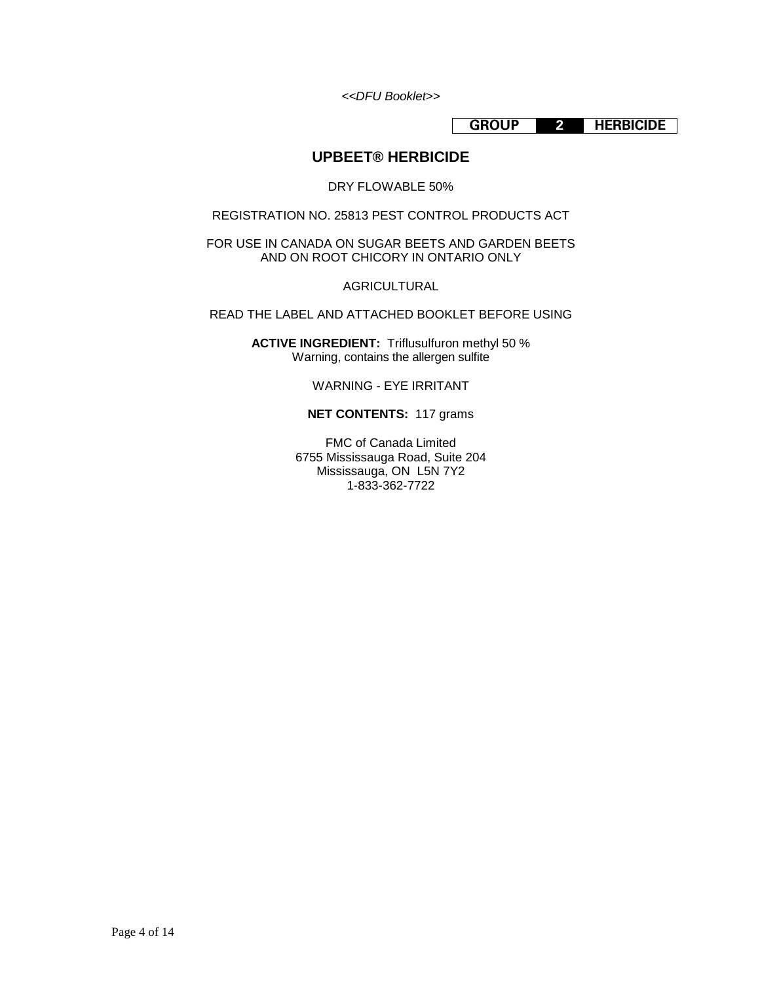*<<DFU Booklet>>*

**GROUP 2 HERBICIDE**

# **UPBEET® HERBICIDE**

DRY FLOWABLE 50%

REGISTRATION NO. 25813 PEST CONTROL PRODUCTS ACT

FOR USE IN CANADA ON SUGAR BEETS AND GARDEN BEETS AND ON ROOT CHICORY IN ONTARIO ONLY

AGRICULTURAL

READ THE LABEL AND ATTACHED BOOKLET BEFORE USING

**ACTIVE INGREDIENT:** Triflusulfuron methyl 50 % Warning, contains the allergen sulfite

WARNING - EYE IRRITANT

### **NET CONTENTS:** 117 grams

FMC of Canada Limited 6755 Mississauga Road, Suite 204 Mississauga, ON L5N 7Y2 1-833-362-7722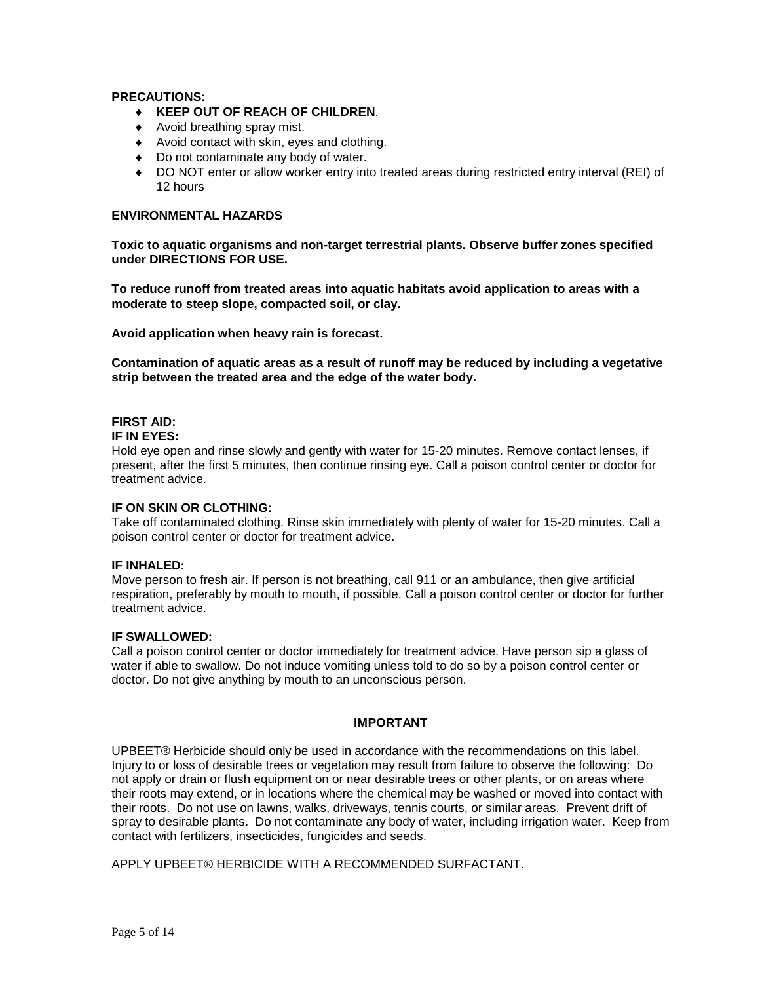## **PRECAUTIONS:**

- ♦ **KEEP OUT OF REACH OF CHILDREN**.
- ♦ Avoid breathing spray mist.
- ♦ Avoid contact with skin, eyes and clothing.
- ♦ Do not contaminate any body of water.
- ♦ DO NOT enter or allow worker entry into treated areas during restricted entry interval (REI) of 12 hours

# **ENVIRONMENTAL HAZARDS**

**Toxic to aquatic organisms and non-target terrestrial plants. Observe buffer zones specified under DIRECTIONS FOR USE.**

**To reduce runoff from treated areas into aquatic habitats avoid application to areas with a moderate to steep slope, compacted soil, or clay.**

**Avoid application when heavy rain is forecast.**

**Contamination of aquatic areas as a result of runoff may be reduced by including a vegetative strip between the treated area and the edge of the water body.**

## **FIRST AID:**

#### **IF IN EYES:**

Hold eye open and rinse slowly and gently with water for 15-20 minutes. Remove contact lenses, if present, after the first 5 minutes, then continue rinsing eye. Call a poison control center or doctor for treatment advice.

### **IF ON SKIN OR CLOTHING:**

Take off contaminated clothing. Rinse skin immediately with plenty of water for 15-20 minutes. Call a poison control center or doctor for treatment advice.

### **IF INHALED:**

Move person to fresh air. If person is not breathing, call 911 or an ambulance, then give artificial respiration, preferably by mouth to mouth, if possible. Call a poison control center or doctor for further treatment advice.

### **IF SWALLOWED:**

Call a poison control center or doctor immediately for treatment advice. Have person sip a glass of water if able to swallow. Do not induce vomiting unless told to do so by a poison control center or doctor. Do not give anything by mouth to an unconscious person.

### **IMPORTANT**

UPBEET® Herbicide should only be used in accordance with the recommendations on this label. Injury to or loss of desirable trees or vegetation may result from failure to observe the following: Do not apply or drain or flush equipment on or near desirable trees or other plants, or on areas where their roots may extend, or in locations where the chemical may be washed or moved into contact with their roots. Do not use on lawns, walks, driveways, tennis courts, or similar areas. Prevent drift of spray to desirable plants. Do not contaminate any body of water, including irrigation water. Keep from contact with fertilizers, insecticides, fungicides and seeds.

APPLY UPBEET® HERBICIDE WITH A RECOMMENDED SURFACTANT.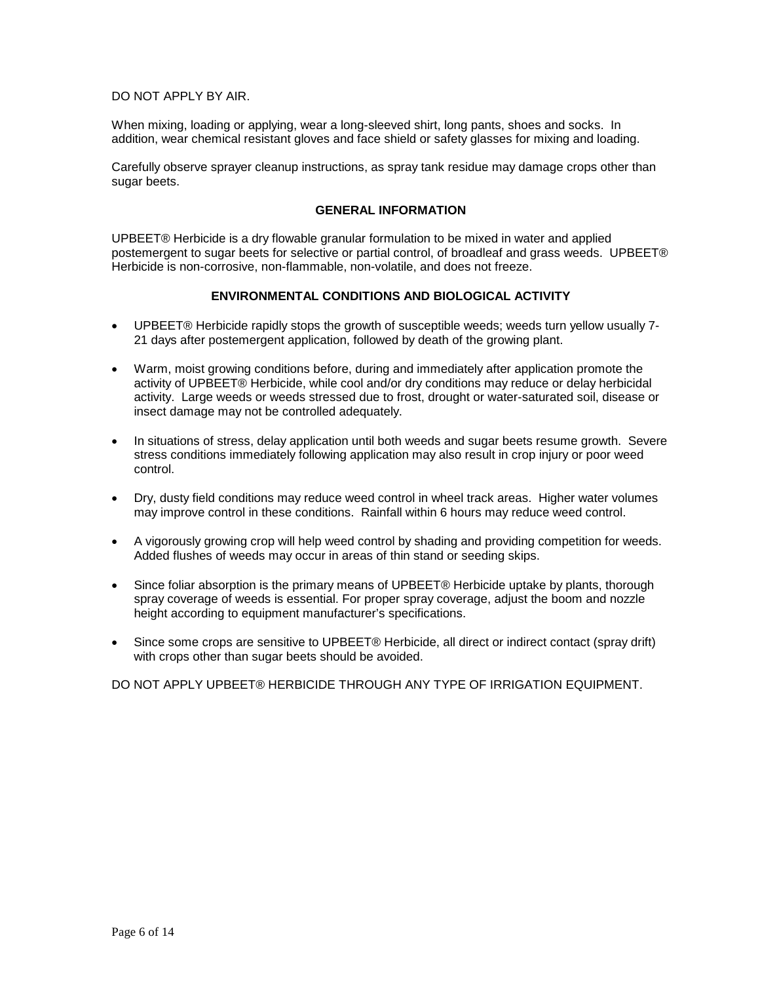## DO NOT APPLY BY AIR.

When mixing, loading or applying, wear a long-sleeved shirt, long pants, shoes and socks. In addition, wear chemical resistant gloves and face shield or safety glasses for mixing and loading.

Carefully observe sprayer cleanup instructions, as spray tank residue may damage crops other than sugar beets.

#### **GENERAL INFORMATION**

UPBEET® Herbicide is a dry flowable granular formulation to be mixed in water and applied postemergent to sugar beets for selective or partial control, of broadleaf and grass weeds. UPBEET® Herbicide is non-corrosive, non-flammable, non-volatile, and does not freeze.

## **ENVIRONMENTAL CONDITIONS AND BIOLOGICAL ACTIVITY**

- UPBEET® Herbicide rapidly stops the growth of susceptible weeds; weeds turn yellow usually 7- 21 days after postemergent application, followed by death of the growing plant.
- Warm, moist growing conditions before, during and immediately after application promote the activity of UPBEET® Herbicide, while cool and/or dry conditions may reduce or delay herbicidal activity. Large weeds or weeds stressed due to frost, drought or water-saturated soil, disease or insect damage may not be controlled adequately.
- In situations of stress, delay application until both weeds and sugar beets resume growth. Severe stress conditions immediately following application may also result in crop injury or poor weed control.
- Dry, dusty field conditions may reduce weed control in wheel track areas. Higher water volumes may improve control in these conditions. Rainfall within 6 hours may reduce weed control.
- A vigorously growing crop will help weed control by shading and providing competition for weeds. Added flushes of weeds may occur in areas of thin stand or seeding skips.
- Since foliar absorption is the primary means of UPBEET® Herbicide uptake by plants, thorough spray coverage of weeds is essential. For proper spray coverage, adjust the boom and nozzle height according to equipment manufacturer's specifications.
- Since some crops are sensitive to UPBEET® Herbicide, all direct or indirect contact (spray drift) with crops other than sugar beets should be avoided.

DO NOT APPLY UPBEET® HERBICIDE THROUGH ANY TYPE OF IRRIGATION EQUIPMENT.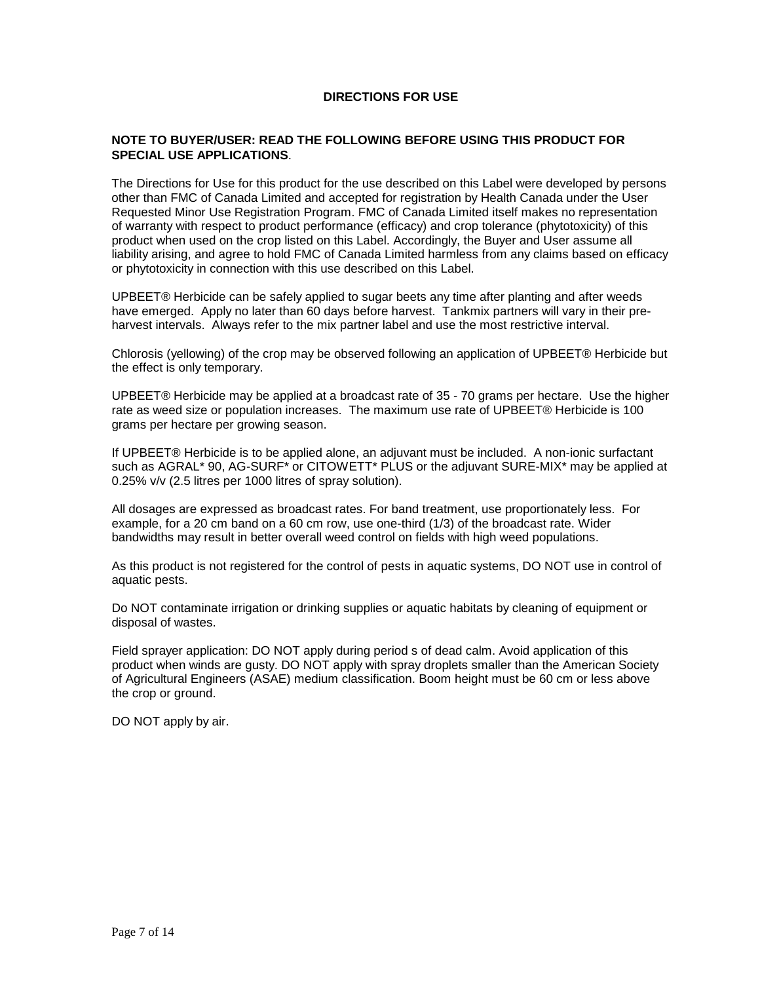## **DIRECTIONS FOR USE**

### **NOTE TO BUYER/USER: READ THE FOLLOWING BEFORE USING THIS PRODUCT FOR SPECIAL USE APPLICATIONS**.

The Directions for Use for this product for the use described on this Label were developed by persons other than FMC of Canada Limited and accepted for registration by Health Canada under the User Requested Minor Use Registration Program. FMC of Canada Limited itself makes no representation of warranty with respect to product performance (efficacy) and crop tolerance (phytotoxicity) of this product when used on the crop listed on this Label. Accordingly, the Buyer and User assume all liability arising, and agree to hold FMC of Canada Limited harmless from any claims based on efficacy or phytotoxicity in connection with this use described on this Label.

UPBEET® Herbicide can be safely applied to sugar beets any time after planting and after weeds have emerged. Apply no later than 60 days before harvest. Tankmix partners will vary in their preharvest intervals. Always refer to the mix partner label and use the most restrictive interval.

Chlorosis (yellowing) of the crop may be observed following an application of UPBEET® Herbicide but the effect is only temporary.

UPBEET® Herbicide may be applied at a broadcast rate of 35 - 70 grams per hectare. Use the higher rate as weed size or population increases. The maximum use rate of UPBEET® Herbicide is 100 grams per hectare per growing season.

If UPBEET® Herbicide is to be applied alone, an adjuvant must be included. A non-ionic surfactant such as AGRAL\* 90, AG-SURF\* or CITOWETT\* PLUS or the adjuvant SURE-MIX\* may be applied at 0.25% v/v (2.5 litres per 1000 litres of spray solution).

All dosages are expressed as broadcast rates. For band treatment, use proportionately less. For example, for a 20 cm band on a 60 cm row, use one-third (1/3) of the broadcast rate. Wider bandwidths may result in better overall weed control on fields with high weed populations.

As this product is not registered for the control of pests in aquatic systems, DO NOT use in control of aquatic pests.

Do NOT contaminate irrigation or drinking supplies or aquatic habitats by cleaning of equipment or disposal of wastes.

Field sprayer application: DO NOT apply during period s of dead calm. Avoid application of this product when winds are gusty. DO NOT apply with spray droplets smaller than the American Society of Agricultural Engineers (ASAE) medium classification. Boom height must be 60 cm or less above the crop or ground.

DO NOT apply by air.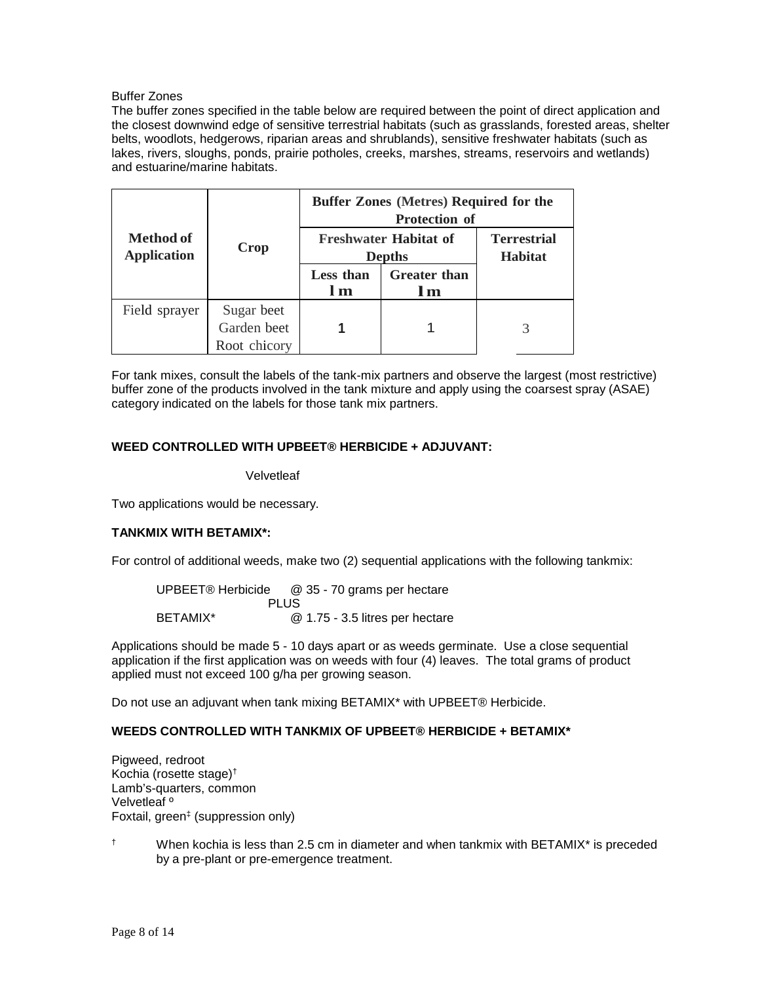## Buffer Zones

The buffer zones specified in the table below are required between the point of direct application and the closest downwind edge of sensitive terrestrial habitats (such as grasslands, forested areas, shelter belts, woodlots, hedgerows, riparian areas and shrublands), sensitive freshwater habitats (such as lakes, rivers, sloughs, ponds, prairie potholes, creeks, marshes, streams, reservoirs and wetlands) and estuarine/marine habitats.

|                                 | Crop                      | <b>Buffer Zones (Metres) Required for the</b><br><b>Protection of</b> |                            |                                      |
|---------------------------------|---------------------------|-----------------------------------------------------------------------|----------------------------|--------------------------------------|
| Method of<br><b>Application</b> |                           | <b>Freshwater Habitat of</b><br><b>Depths</b>                         |                            | <b>Terrestrial</b><br><b>Habitat</b> |
|                                 |                           | <b>Less than</b><br>l m                                               | <b>Greater than</b><br>l m |                                      |
| Field sprayer                   | Sugar beet<br>Garden beet |                                                                       |                            | 3                                    |
|                                 | Root chicory              |                                                                       |                            |                                      |

For tank mixes, consult the labels of the tank-mix partners and observe the largest (most restrictive) buffer zone of the products involved in the tank mixture and apply using the coarsest spray (ASAE) category indicated on the labels for those tank mix partners.

## **WEED CONTROLLED WITH UPBEET® HERBICIDE + ADJUVANT:**

### **Velvetleaf**

Two applications would be necessary.

## **TANKMIX WITH BETAMIX\*:**

For control of additional weeds, make two (2) sequential applications with the following tankmix:

| UPBEET® Herbicide | @ 35 - 70 grams per hectare     |
|-------------------|---------------------------------|
|                   | PLUS                            |
| BETAMIX*          | @ 1.75 - 3.5 litres per hectare |

Applications should be made 5 - 10 days apart or as weeds germinate. Use a close sequential application if the first application was on weeds with four (4) leaves. The total grams of product applied must not exceed 100 g/ha per growing season.

Do not use an adjuvant when tank mixing BETAMIX\* with UPBEET® Herbicide.

## **WEEDS CONTROLLED WITH TANKMIX OF UPBEET® HERBICIDE + BETAMIX\***

Pigweed, redroot Kochia (rosette stage)† Lamb's-quarters, common Velvetleaf º Foxtail, green‡ (suppression only)

† When kochia is less than 2.5 cm in diameter and when tankmix with BETAMIX\* is preceded by a pre-plant or pre-emergence treatment.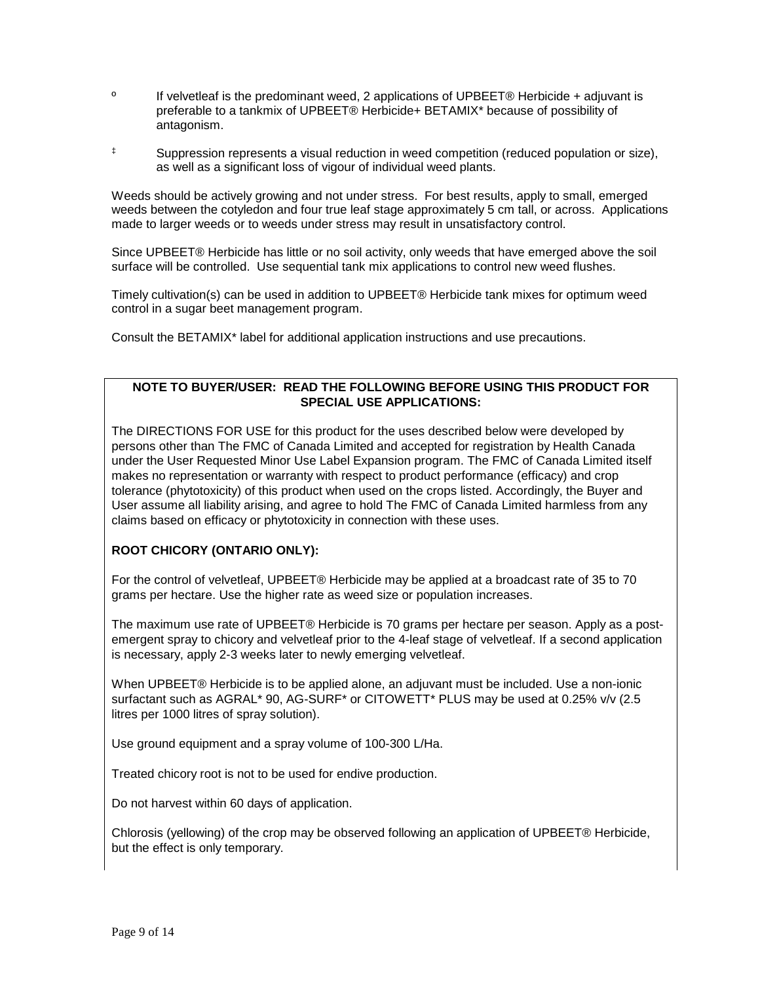- <sup>o</sup> If velvetleaf is the predominant weed, 2 applications of UPBEET® Herbicide + adjuvant is preferable to a tankmix of UPBEET® Herbicide+ BETAMIX\* because of possibility of antagonism.
- ‡ Suppression represents a visual reduction in weed competition (reduced population or size), as well as a significant loss of vigour of individual weed plants.

Weeds should be actively growing and not under stress. For best results, apply to small, emerged weeds between the cotyledon and four true leaf stage approximately 5 cm tall, or across. Applications made to larger weeds or to weeds under stress may result in unsatisfactory control.

Since UPBEET® Herbicide has little or no soil activity, only weeds that have emerged above the soil surface will be controlled. Use sequential tank mix applications to control new weed flushes.

Timely cultivation(s) can be used in addition to UPBEET® Herbicide tank mixes for optimum weed control in a sugar beet management program.

Consult the BETAMIX\* label for additional application instructions and use precautions.

# **NOTE TO BUYER/USER: READ THE FOLLOWING BEFORE USING THIS PRODUCT FOR SPECIAL USE APPLICATIONS:**

The DIRECTIONS FOR USE for this product for the uses described below were developed by persons other than The FMC of Canada Limited and accepted for registration by Health Canada under the User Requested Minor Use Label Expansion program. The FMC of Canada Limited itself makes no representation or warranty with respect to product performance (efficacy) and crop tolerance (phytotoxicity) of this product when used on the crops listed. Accordingly, the Buyer and User assume all liability arising, and agree to hold The FMC of Canada Limited harmless from any claims based on efficacy or phytotoxicity in connection with these uses.

## **ROOT CHICORY (ONTARIO ONLY):**

For the control of velvetleaf, UPBEET® Herbicide may be applied at a broadcast rate of 35 to 70 grams per hectare. Use the higher rate as weed size or population increases.

The maximum use rate of UPBEET® Herbicide is 70 grams per hectare per season. Apply as a postemergent spray to chicory and velvetleaf prior to the 4-leaf stage of velvetleaf. If a second application is necessary, apply 2-3 weeks later to newly emerging velvetleaf.

When UPBEET® Herbicide is to be applied alone, an adjuvant must be included. Use a non-ionic surfactant such as AGRAL\* 90, AG-SURF\* or CITOWETT\* PLUS may be used at 0.25% v/v (2.5 litres per 1000 litres of spray solution).

Use ground equipment and a spray volume of 100-300 L/Ha.

Treated chicory root is not to be used for endive production.

Do not harvest within 60 days of application.

Chlorosis (yellowing) of the crop may be observed following an application of UPBEET® Herbicide, but the effect is only temporary.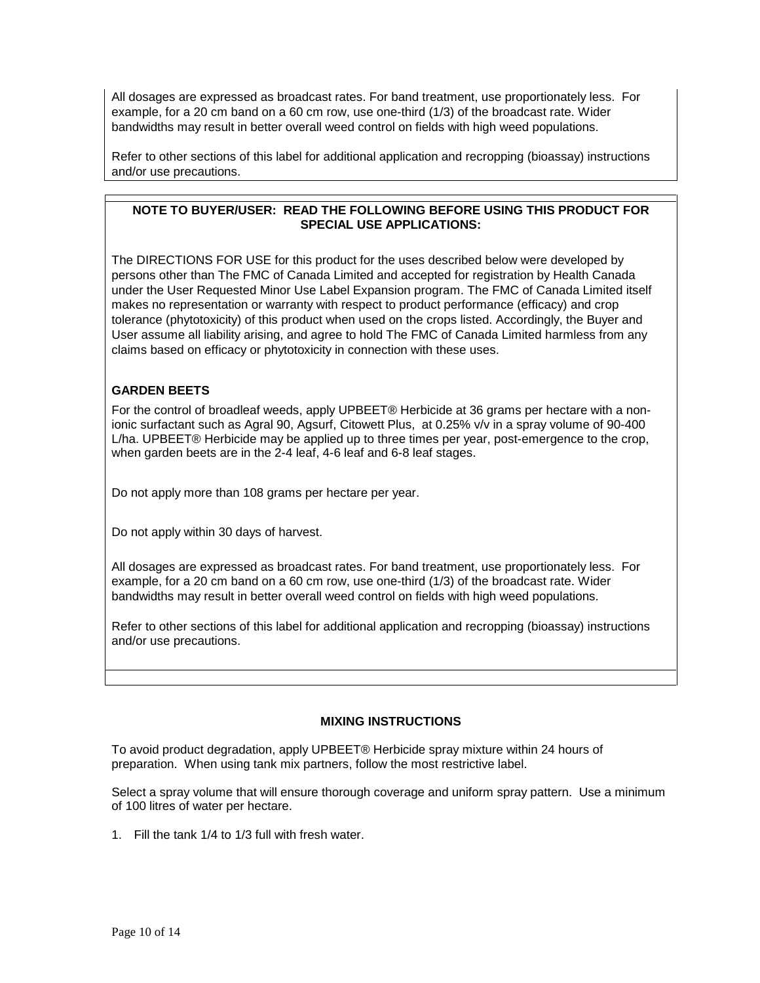All dosages are expressed as broadcast rates. For band treatment, use proportionately less. For example, for a 20 cm band on a 60 cm row, use one-third (1/3) of the broadcast rate. Wider bandwidths may result in better overall weed control on fields with high weed populations.

Refer to other sections of this label for additional application and recropping (bioassay) instructions and/or use precautions.

## **NOTE TO BUYER/USER: READ THE FOLLOWING BEFORE USING THIS PRODUCT FOR SPECIAL USE APPLICATIONS:**

The DIRECTIONS FOR USE for this product for the uses described below were developed by persons other than The FMC of Canada Limited and accepted for registration by Health Canada under the User Requested Minor Use Label Expansion program. The FMC of Canada Limited itself makes no representation or warranty with respect to product performance (efficacy) and crop tolerance (phytotoxicity) of this product when used on the crops listed. Accordingly, the Buyer and User assume all liability arising, and agree to hold The FMC of Canada Limited harmless from any claims based on efficacy or phytotoxicity in connection with these uses.

# **GARDEN BEETS**

For the control of broadleaf weeds, apply UPBEET® Herbicide at 36 grams per hectare with a nonionic surfactant such as Agral 90, Agsurf, Citowett Plus, at 0.25% v/v in a spray volume of 90-400 L/ha. UPBEET® Herbicide may be applied up to three times per year, post-emergence to the crop, when garden beets are in the 2-4 leaf, 4-6 leaf and 6-8 leaf stages.

Do not apply more than 108 grams per hectare per year.

Do not apply within 30 days of harvest.

All dosages are expressed as broadcast rates. For band treatment, use proportionately less. For example, for a 20 cm band on a 60 cm row, use one-third (1/3) of the broadcast rate. Wider bandwidths may result in better overall weed control on fields with high weed populations.

Refer to other sections of this label for additional application and recropping (bioassay) instructions and/or use precautions.

## **MIXING INSTRUCTIONS**

To avoid product degradation, apply UPBEET® Herbicide spray mixture within 24 hours of preparation. When using tank mix partners, follow the most restrictive label.

Select a spray volume that will ensure thorough coverage and uniform spray pattern. Use a minimum of 100 litres of water per hectare.

1. Fill the tank 1/4 to 1/3 full with fresh water.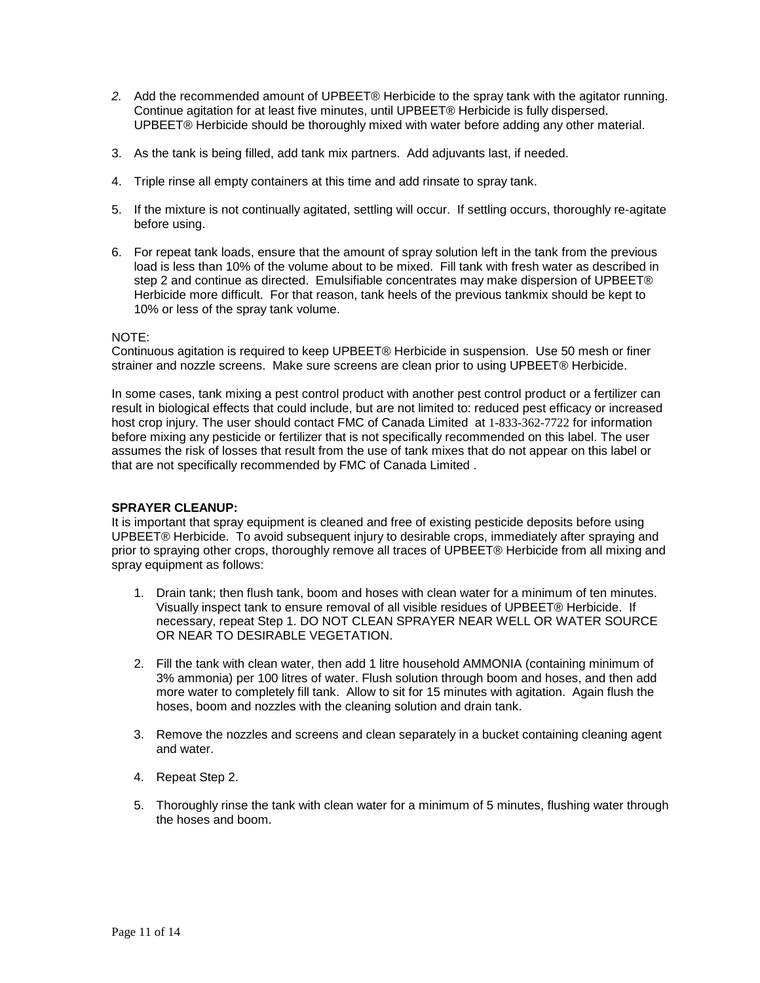- *2.* Add the recommended amount of UPBEET® Herbicide to the spray tank with the agitator running. Continue agitation for at least five minutes, until UPBEET® Herbicide is fully dispersed. UPBEET® Herbicide should be thoroughly mixed with water before adding any other material.
- 3. As the tank is being filled, add tank mix partners. Add adjuvants last, if needed.
- 4. Triple rinse all empty containers at this time and add rinsate to spray tank.
- 5. If the mixture is not continually agitated, settling will occur. If settling occurs, thoroughly re-agitate before using.
- 6. For repeat tank loads, ensure that the amount of spray solution left in the tank from the previous load is less than 10% of the volume about to be mixed. Fill tank with fresh water as described in step 2 and continue as directed. Emulsifiable concentrates may make dispersion of UPBEET® Herbicide more difficult. For that reason, tank heels of the previous tankmix should be kept to 10% or less of the spray tank volume.

### NOTE:

Continuous agitation is required to keep UPBEET® Herbicide in suspension. Use 50 mesh or finer strainer and nozzle screens. Make sure screens are clean prior to using UPBEET® Herbicide.

In some cases, tank mixing a pest control product with another pest control product or a fertilizer can result in biological effects that could include, but are not limited to: reduced pest efficacy or increased host crop injury. The user should contact FMC of Canada Limited at 1-833-362-7722 for information before mixing any pesticide or fertilizer that is not specifically recommended on this label. The user assumes the risk of losses that result from the use of tank mixes that do not appear on this label or that are not specifically recommended by FMC of Canada Limited .

### **SPRAYER CLEANUP:**

It is important that spray equipment is cleaned and free of existing pesticide deposits before using UPBEET® Herbicide. To avoid subsequent injury to desirable crops, immediately after spraying and prior to spraying other crops, thoroughly remove all traces of UPBEET® Herbicide from all mixing and spray equipment as follows:

- 1. Drain tank; then flush tank, boom and hoses with clean water for a minimum of ten minutes. Visually inspect tank to ensure removal of all visible residues of UPBEET® Herbicide. If necessary, repeat Step 1. DO NOT CLEAN SPRAYER NEAR WELL OR WATER SOURCE OR NEAR TO DESIRABLE VEGETATION.
- 2. Fill the tank with clean water, then add 1 litre household AMMONIA (containing minimum of 3% ammonia) per 100 litres of water. Flush solution through boom and hoses, and then add more water to completely fill tank. Allow to sit for 15 minutes with agitation. Again flush the hoses, boom and nozzles with the cleaning solution and drain tank.
- 3. Remove the nozzles and screens and clean separately in a bucket containing cleaning agent and water.
- 4. Repeat Step 2.
- 5. Thoroughly rinse the tank with clean water for a minimum of 5 minutes, flushing water through the hoses and boom.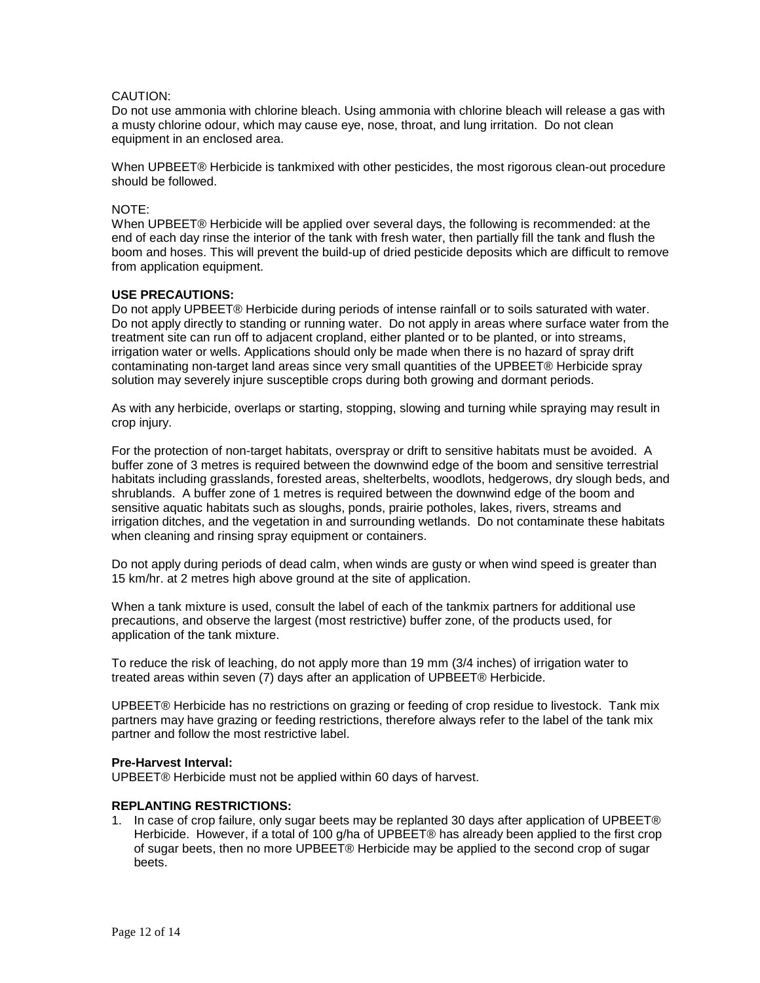## CAUTION:

Do not use ammonia with chlorine bleach. Using ammonia with chlorine bleach will release a gas with a musty chlorine odour, which may cause eye, nose, throat, and lung irritation. Do not clean equipment in an enclosed area.

When UPBEET® Herbicide is tankmixed with other pesticides, the most rigorous clean-out procedure should be followed.

#### NOTE:

When UPBEET® Herbicide will be applied over several days, the following is recommended: at the end of each day rinse the interior of the tank with fresh water, then partially fill the tank and flush the boom and hoses. This will prevent the build-up of dried pesticide deposits which are difficult to remove from application equipment.

### **USE PRECAUTIONS:**

Do not apply UPBEET® Herbicide during periods of intense rainfall or to soils saturated with water. Do not apply directly to standing or running water. Do not apply in areas where surface water from the treatment site can run off to adjacent cropland, either planted or to be planted, or into streams, irrigation water or wells. Applications should only be made when there is no hazard of spray drift contaminating non-target land areas since very small quantities of the UPBEET® Herbicide spray solution may severely injure susceptible crops during both growing and dormant periods.

As with any herbicide, overlaps or starting, stopping, slowing and turning while spraying may result in crop injury.

For the protection of non-target habitats, overspray or drift to sensitive habitats must be avoided. A buffer zone of 3 metres is required between the downwind edge of the boom and sensitive terrestrial habitats including grasslands, forested areas, shelterbelts, woodlots, hedgerows, dry slough beds, and shrublands. A buffer zone of 1 metres is required between the downwind edge of the boom and sensitive aquatic habitats such as sloughs, ponds, prairie potholes, lakes, rivers, streams and irrigation ditches, and the vegetation in and surrounding wetlands. Do not contaminate these habitats when cleaning and rinsing spray equipment or containers.

Do not apply during periods of dead calm, when winds are gusty or when wind speed is greater than 15 km/hr. at 2 metres high above ground at the site of application.

When a tank mixture is used, consult the label of each of the tankmix partners for additional use precautions, and observe the largest (most restrictive) buffer zone, of the products used, for application of the tank mixture.

To reduce the risk of leaching, do not apply more than 19 mm (3/4 inches) of irrigation water to treated areas within seven (7) days after an application of UPBEET® Herbicide.

UPBEET® Herbicide has no restrictions on grazing or feeding of crop residue to livestock. Tank mix partners may have grazing or feeding restrictions, therefore always refer to the label of the tank mix partner and follow the most restrictive label.

#### **Pre-Harvest Interval:**

UPBEET® Herbicide must not be applied within 60 days of harvest.

#### **REPLANTING RESTRICTIONS:**

1. In case of crop failure, only sugar beets may be replanted 30 days after application of UPBEET® Herbicide. However, if a total of 100 g/ha of UPBEET® has already been applied to the first crop of sugar beets, then no more UPBEET® Herbicide may be applied to the second crop of sugar beets.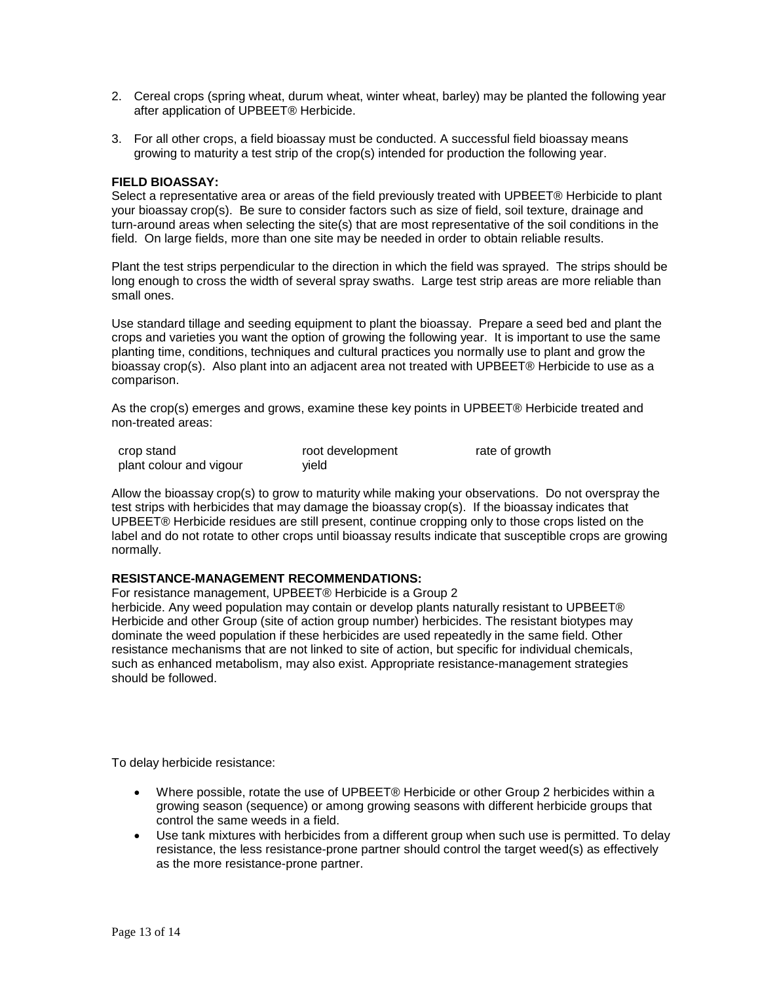- 2. Cereal crops (spring wheat, durum wheat, winter wheat, barley) may be planted the following year after application of UPBEET® Herbicide.
- 3. For all other crops, a field bioassay must be conducted. A successful field bioassay means growing to maturity a test strip of the crop(s) intended for production the following year.

#### **FIELD BIOASSAY:**

Select a representative area or areas of the field previously treated with UPBEET® Herbicide to plant your bioassay crop(s). Be sure to consider factors such as size of field, soil texture, drainage and turn-around areas when selecting the site(s) that are most representative of the soil conditions in the field. On large fields, more than one site may be needed in order to obtain reliable results.

Plant the test strips perpendicular to the direction in which the field was sprayed. The strips should be long enough to cross the width of several spray swaths. Large test strip areas are more reliable than small ones.

Use standard tillage and seeding equipment to plant the bioassay. Prepare a seed bed and plant the crops and varieties you want the option of growing the following year. It is important to use the same planting time, conditions, techniques and cultural practices you normally use to plant and grow the bioassay crop(s). Also plant into an adjacent area not treated with UPBEET® Herbicide to use as a comparison.

As the crop(s) emerges and grows, examine these key points in UPBEET® Herbicide treated and non-treated areas:

| crop stand              | root development | rate of growth |
|-------------------------|------------------|----------------|
| plant colour and vigour | vield            |                |

Allow the bioassay crop(s) to grow to maturity while making your observations. Do not overspray the test strips with herbicides that may damage the bioassay crop(s). If the bioassay indicates that UPBEET® Herbicide residues are still present, continue cropping only to those crops listed on the label and do not rotate to other crops until bioassay results indicate that susceptible crops are growing normally.

#### **RESISTANCE-MANAGEMENT RECOMMENDATIONS:**

For resistance management, UPBEET® Herbicide is a Group 2

herbicide. Any weed population may contain or develop plants naturally resistant to UPBEET® Herbicide and other Group (site of action group number) herbicides. The resistant biotypes may dominate the weed population if these herbicides are used repeatedly in the same field. Other resistance mechanisms that are not linked to site of action, but specific for individual chemicals, such as enhanced metabolism, may also exist. Appropriate resistance-management strategies should be followed.

To delay herbicide resistance:

- Where possible, rotate the use of UPBEET® Herbicide or other Group 2 herbicides within a growing season (sequence) or among growing seasons with different herbicide groups that control the same weeds in a field.
- Use tank mixtures with herbicides from a different group when such use is permitted. To delay resistance, the less resistance-prone partner should control the target weed(s) as effectively as the more resistance-prone partner.